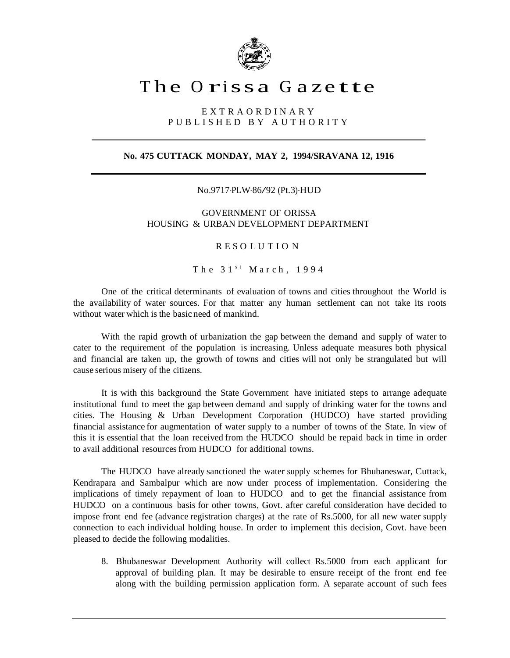

## The Orissa Gazette

E X T R A O R D I N A R Y P U B L I S H E D B Y A U T H O R I T Y

## **No. 475 CUTTACK MONDAY, MAY 2, 1994/SRAVANA 12, 1916**

No.9717-PLW-86/92 (Pt.3)-HUD

GOVERNMENT OF ORISSA HOUSING & URBAN DEVELOPMENT DEPARTMENT

R E S O L U T I O N

The  $31<sup>st</sup>$  March, 1994

One of the critical determinants of evaluation of towns and cities throughout the World is the availability of water sources. For that matter any human settlement can not take its roots without water which is the basic need of mankind.

With the rapid growth of urbanization the gap between the demand and supply of water to cater to the requirement of the population is increasing. Unless adequate measures both physical and financial are taken up, the growth of towns and cities will not only be strangulated but will cause serious misery of the citizens.

It is with this background the State Government have initiated steps to arrange adequate institutional fund to meet the gap between demand and supply of drinking water for the towns and cities. The Housing & Urban Development Corporation (HUDCO) have started providing financial assistance for augmentation of water supply to a number of towns of the State. In view of this it is essential that the loan received from the HUDCO should be repaid back in time in order to avail additional resources from HUDCO for additional towns.

The HUDCO have already sanctioned the water supply schemes for Bhubaneswar, Cuttack, Kendrapara and Sambalpur which are now under process of implementation. Considering the implications of timely repayment of loan to HUDCO and to get the financial assistance from HUDCO on a continuous basis for other towns, Govt. after careful consideration have decided to impose front end fee (advance registration charges) at the rate of Rs.5000, for all new water supply connection to each individual holding house. In order to implement this decision, Govt. have been pleased to decide the following modalities.

8. Bhubaneswar Development Authority will collect Rs.5000 from each applicant for approval of building plan. It may be desirable to ensure receipt of the front end fee along with the building permission application form. A separate account of such fees